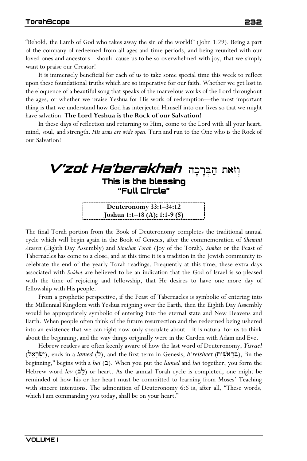"Behold, the Lamb of God who takes away the sin of the world!" (John 1:29). Being a part of the company of redeemed from all ages and time periods, and being reunited with our loved ones and ancestors—should cause us to be so overwhelmed with joy, that we simply want to praise our Creator!

It is immensely beneficial for each of us to take some special time this week to reflect upon these foundational truths which are so imperative for our faith. Whether we get lost in the eloquence of a beautiful song that speaks of the marvelous works of the Lord throughout the ages, or whether we praise Yeshua for His work of redemption—the most important thing is that we understand how God has interjected Himself into our lives so that we might have salvation. **The Lord Yeshua is the Rock of our Salvation!** 

In these days of reflection and returning to Him, come to the Lord with all your heart, mind, soul, and strength. *His arms are wide open.* Turn and run to the One who is the Rock of our Salvation!

## **V'zot Ha'berakhah וְוֹאת הַבְּרְכָה This is the blessing "Full Circle" Deuteronomy 33:1–34:12 Joshua 1:1–18 (A); 1:1-9 (S)**

The final Torah portion from the Book of Deuteronomy completes the traditional annual cycle which will begin again in the Book of Genesis, after the commemoration of *Shemini Atzeret* (Eighth Day Assembly) and *Simchat Torah* (Joy of the Torah)*. Sukkot* or the Feast of Tabernacles has come to a close, and at this time it is a tradition in the Jewish community to celebrate the end of the yearly Torah readings. Frequently at this time, these extra days associated with *Sukkot* are believed to be an indication that the God of Israel is so pleased with the time of rejoicing and fellowship, that He desires to have one more day of fellowship with His people.

From a prophetic perspective, if the Feast of Tabernacles is symbolic of entering into the Millennial Kingdom with Yeshua reigning over the Earth, then the Eighth Day Assembly would be appropriately symbolic of entering into the eternal state and New Heavens and Earth. When people often think of the future resurrection and the redeemed being ushered into an existence that we can right now only speculate about—it is natural for us to think about the beginning, and the way things originally were in the Garden with Adam and Eve.

Hebrew readers are often keenly aware of how the last word of Deuteronomy, *Yisrael* (יִשְׂרָאֵל), ends in a *lamed* (ל), and the first term in Genesis, *b'reisheet* (יִשְׂרָאֵל), "in the beginning," begins with a *bet* (b). When you put the *lamed* and *bet* together, you form the Hebrew word *lev* ( $\leq$ ) or heart. As the annual Torah cycle is completed, one might be reminded of how his or her heart must be committed to learning from Moses' Teaching with sincere intentions. The admonition of Deuteronomy 6:6 is, after all, "These words, which I am commanding you today, shall be on your heart."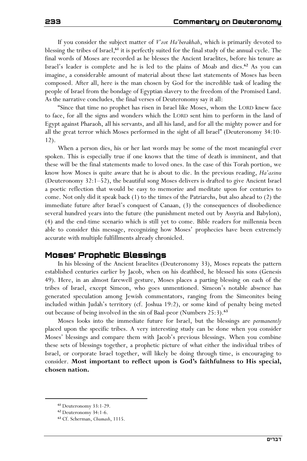If you consider the subject matter of *V'zot Ha'berakhah*, which is primarily devoted to blessing the tribes of Israel,**<sup>61</sup>** it is perfectly suited for the final study of the annual cycle. The final words of Moses are recorded as he blesses the Ancient Israelites, before his tenure as Israel's leader is complete and he is led to the plains of Moab and dies.**<sup>62</sup>** As you can imagine, a considerable amount of material about these last statements of Moses has been composed. After all, here is the man chosen by God for the incredible task of leading the people of Israel from the bondage of Egyptian slavery to the freedom of the Promised Land. As the narrative concludes, the final verses of Deuteronomy say it all:

"Since that time no prophet has risen in Israel like Moses, whom the LORD knew face to face, for all the signs and wonders which the LORD sent him to perform in the land of Egypt against Pharaoh, all his servants, and all his land, and for all the mighty power and for all the great terror which Moses performed in the sight of all Israel" (Deuteronomy 34:10- 12).

When a person dies, his or her last words may be some of the most meaningful ever spoken. This is especially true if one knows that the time of death is imminent, and that these will be the final statements made to loved ones. In the case of this Torah portion, we know how Moses is quite aware that he is about to die. In the previous reading, *Ha'azinu* (Deuteronomy 32:1–52), the beautiful song Moses delivers is drafted to give Ancient Israel a poetic reflection that would be easy to memorize and meditate upon for centuries to come. Not only did it speak back (1) to the times of the Patriarchs, but also ahead to (2) the immediate future after Israel's conquest of Canaan, (3) the consequences of disobedience several hundred years into the future (the punishment meted out by Assyria and Babylon), (4) and the end-time scenario which is still yet to come. Bible readers for millennia been able to consider this message, recognizing how Moses' prophecies have been extremely accurate with multiple fulfillments already chronicled.

## **Moses' Prophetic Blessings**

In his blessing of the Ancient Israelites (Deuteronomy 33), Moses repeats the pattern established centuries earlier by Jacob, when on his deathbed, he blessed his sons (Genesis 49). Here, in an almost farewell gesture, Moses places a parting blessing on each of the tribes of Israel, except Simeon, who goes unmentioned. Simeon's notable absence has generated speculation among Jewish commentators, ranging from the Simeonites being included within Judah's territory (cf. Joshua 19:2), or some kind of penalty being meted out because of being involved in the sin of Baal-peor (Numbers 25:3).**<sup>63</sup>**

Moses looks into the immediate future for Israel, but the blessings are *permanently* placed upon the specific tribes. A very interesting study can be done when you consider Moses' blessings and compare them with Jacob's previous blessings. When you combine these sets of blessings together, a prophetic picture of what either the individual tribes of Israel, or corporate Israel together, will likely be doing through time, is encouraging to consider. **Most important to reflect upon is God's faithfulness to His special, chosen nation.** 

**<sup>61</sup>** Deuteronomy 33:1-29.

**<sup>62</sup>** Deuteronomy 34:1-6.

**<sup>63</sup>** Cf. Scherman, *Chumash*, 1115.